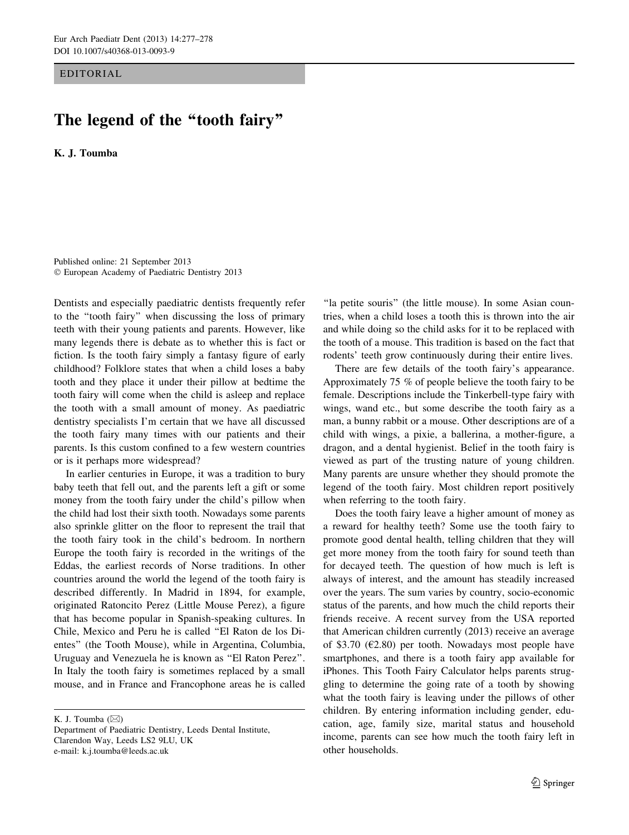EDITORIAL

## The legend of the "tooth fairy"

K. J. Toumba

Published online: 21 September 2013 - European Academy of Paediatric Dentistry 2013

Dentists and especially paediatric dentists frequently refer to the ''tooth fairy'' when discussing the loss of primary teeth with their young patients and parents. However, like many legends there is debate as to whether this is fact or fiction. Is the tooth fairy simply a fantasy figure of early childhood? Folklore states that when a child loses a baby tooth and they place it under their pillow at bedtime the tooth fairy will come when the child is asleep and replace the tooth with a small amount of money. As paediatric dentistry specialists I'm certain that we have all discussed the tooth fairy many times with our patients and their parents. Is this custom confined to a few western countries or is it perhaps more widespread?

In earlier centuries in Europe, it was a tradition to bury baby teeth that fell out, and the parents left a gift or some money from the tooth fairy under the child's pillow when the child had lost their sixth tooth. Nowadays some parents also sprinkle glitter on the floor to represent the trail that the tooth fairy took in the child's bedroom. In northern Europe the tooth fairy is recorded in the writings of the Eddas, the earliest records of Norse traditions. In other countries around the world the legend of the tooth fairy is described differently. In Madrid in 1894, for example, originated Ratoncito Perez (Little Mouse Perez), a figure that has become popular in Spanish-speaking cultures. In Chile, Mexico and Peru he is called ''El Raton de los Dientes'' (the Tooth Mouse), while in Argentina, Columbia, Uruguay and Venezuela he is known as ''El Raton Perez''. In Italy the tooth fairy is sometimes replaced by a small mouse, and in France and Francophone areas he is called

K. J. Toumba  $(\boxtimes)$ 

"la petite souris" (the little mouse). In some Asian countries, when a child loses a tooth this is thrown into the air and while doing so the child asks for it to be replaced with the tooth of a mouse. This tradition is based on the fact that rodents' teeth grow continuously during their entire lives.

There are few details of the tooth fairy's appearance. Approximately 75 % of people believe the tooth fairy to be female. Descriptions include the Tinkerbell-type fairy with wings, wand etc., but some describe the tooth fairy as a man, a bunny rabbit or a mouse. Other descriptions are of a child with wings, a pixie, a ballerina, a mother-figure, a dragon, and a dental hygienist. Belief in the tooth fairy is viewed as part of the trusting nature of young children. Many parents are unsure whether they should promote the legend of the tooth fairy. Most children report positively when referring to the tooth fairy.

Does the tooth fairy leave a higher amount of money as a reward for healthy teeth? Some use the tooth fairy to promote good dental health, telling children that they will get more money from the tooth fairy for sound teeth than for decayed teeth. The question of how much is left is always of interest, and the amount has steadily increased over the years. The sum varies by country, socio-economic status of the parents, and how much the child reports their friends receive. A recent survey from the USA reported that American children currently (2013) receive an average of \$3.70 ( $E2.80$ ) per tooth. Nowadays most people have smartphones, and there is a tooth fairy app available for iPhones. This Tooth Fairy Calculator helps parents struggling to determine the going rate of a tooth by showing what the tooth fairy is leaving under the pillows of other children. By entering information including gender, education, age, family size, marital status and household income, parents can see how much the tooth fairy left in other households.

Department of Paediatric Dentistry, Leeds Dental Institute, Clarendon Way, Leeds LS2 9LU, UK e-mail: k.j.toumba@leeds.ac.uk